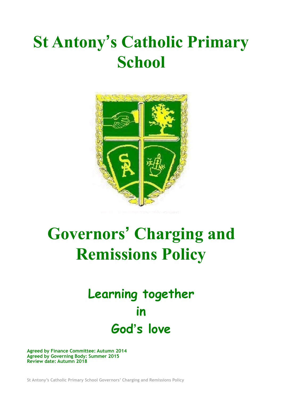## **St Antony's Catholic Primary School**



# **Governors' Charging and Remissions Policy**

### **Learning together in God's love**

**Agreed by Finance Committee: Autumn 2014 Agreed by Governing Body: Summer 2015 Review date: Autumn 2018**

**St Antony's Catholic Primary School Governors' Charging and Remissions Policy**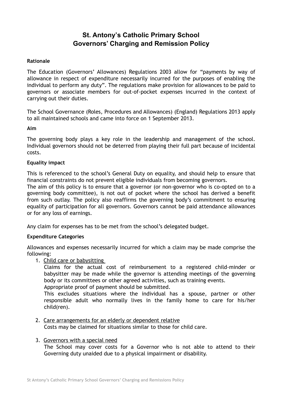### **St. Antony's Catholic Primary School Governors' Charging and Remission Policy**

#### **Rationale**

The Education (Governors' Allowances) Regulations 2003 allow for "payments by way of allowance in respect of expenditure necessarily incurred for the purposes of enabling the individual to perform any duty". The regulations make provision for allowances to be paid to governors or associate members for out-of-pocket expenses incurred in the context of carrying out their duties.

The School Governance (Roles, Procedures and Allowances) (England) Regulations 2013 apply to all maintained schools and came into force on 1 September 2013.

#### **Aim**

The governing body plays a key role in the leadership and management of the school. Individual governors should not be deterred from playing their full part because of incidental costs.

#### **Equality impact**

This is referenced to the school's General Duty on equality, and should help to ensure that financial constraints do not prevent eligible individuals from becoming governors.

The aim of this policy is to ensure that a governor (or non-governor who is co-opted on to a governing body committee), is not out of pocket where the school has derived a benefit from such outlay. The policy also reaffirms the governing body's commitment to ensuring equality of participation for all governors. Governors cannot be paid attendance allowances or for any loss of earnings.

Any claim for expenses has to be met from the school's delegated budget.

#### **Expenditure Categories**

Allowances and expenses necessarily incurred for which a claim may be made comprise the following:

1. Child care or babysitting

Claims for the actual cost of reimbursement to a registered child-minder or babysitter may be made while the governor is attending meetings of the governing body or its committees or other agreed activities, such as training events. Appropriate proof of payment should be submitted.

This excludes situations where the individual has a spouse, partner or other responsible adult who normally lives in the family home to care for his/her child(ren).

2. Care arrangements for an elderly or dependent relative Costs may be claimed for situations similar to those for child care.

#### 3. Governors with a special need

The School may cover costs for a Governor who is not able to attend to their Governing duty unaided due to a physical impairment or disability.